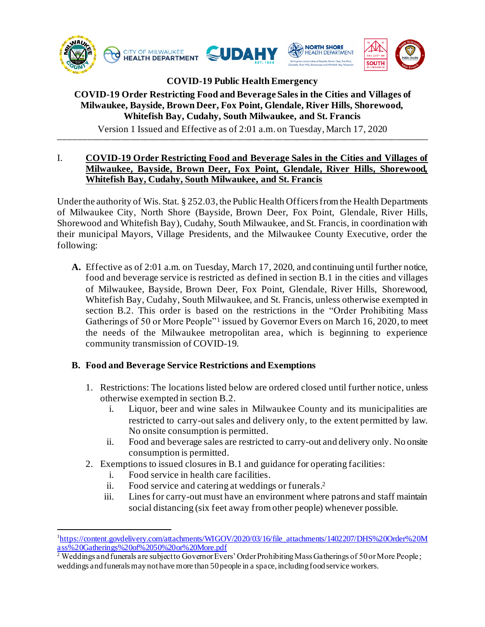

## **COVID-19 Public Health Emergency**

## **COVID-19 Order Restricting Food and Beverage Sales in the Cities and Villages of Milwaukee, Bayside, Brown Deer, Fox Point, Glendale, River Hills, Shorewood, Whitefish Bay, Cudahy, South Milwaukee, and St. Francis**

 $\text{YG5O1}$  T issued and Effective as Of 2.01 a.m. Of Tacsaay, March 17, 2020 Version 1 Issued and Effective as of 2:01 a.m. on Tuesday, March 17, 2020

#### I. **COVID-19 Order Restricting Food and Beverage Sales in the Cities and Villages of Milwaukee, Bayside, Brown Deer, Fox Point, Glendale, River Hills, Shorewood, Whitefish Bay, Cudahy, South Milwaukee, and St. Francis**

Under the authority of Wis. Stat. § 252.03, the Public Health Officers from the Health Departments of Milwaukee City, North Shore (Bayside, Brown Deer, Fox Point, Glendale, River Hills, Shorewood and Whitefish Bay), Cudahy, South Milwaukee, and St. Francis, in coordination with their municipal Mayors, Village Presidents, and the Milwaukee County Executive, order the following:

**A.** Effective as of 2:01 a.m. on Tuesday, March 17, 2020, and continuing until further notice, food and beverage service is restricted as defined in section B.1 in the cities and villages of Milwaukee, Bayside, Brown Deer, Fox Point, Glendale, River Hills, Shorewood, Whitefish Bay, Cudahy, South Milwaukee, and St. Francis, unless otherwise exempted in section B.2. This order is based on the restrictions in the "Order Prohibiting Mass Gatherings of 50 or More People"<sup>1</sup> issued by Governor Evers on March 16, 2020, to meet the needs of the Milwaukee metropolitan area, which is beginning to experience community transmission of COVID-19.

# **B. Food and Beverage Service Restrictions and Exemptions**

- 1. Restrictions: The locations listed below are ordered closed until further notice, unless otherwise exempted in section B.2.
	- i. Liquor, beer and wine sales in Milwaukee County and its municipalities are restricted to carry-out sales and delivery only, to the extent permitted by law. No onsite consumption is permitted.
	- ii. Food and beverage sales are restricted to carry-out and delivery only. No onsite consumption is permitted.
- 2. Exemptions to issued closures in B.1 and guidance for operating facilities:
	- i. Food service in health care facilities.
	- ii. Food service and catering at weddings or funerals.<sup>2</sup>
	- iii. Lines for carry-out must have an environment where patrons and staff maintain social distancing (six feet away from other people) whenever possible.

<sup>&</sup>lt;sup>1</sup>[https://content.govdelivery.com/attachments/WIGOV/2020/03/16/file\\_attachments/1402207/DHS%20Order%20M](https://content.govdelivery.com/attachments/WIGOV/2020/03/16/file_attachments/1402207/DHS%20Order%20Mass%20Gatherings%20of%2050%20or%20More.pdf) [ass%20Gatherings%20of%2050%20or%20More.pdf](https://content.govdelivery.com/attachments/WIGOV/2020/03/16/file_attachments/1402207/DHS%20Order%20Mass%20Gatherings%20of%2050%20or%20More.pdf)

<sup>&</sup>lt;sup>2</sup> Weddings and funerals are subject to Governor Evers' Order Prohibiting Mass Gatherings of 50 or More People; weddings and funerals may not have more than 50 people in a space, including food service workers.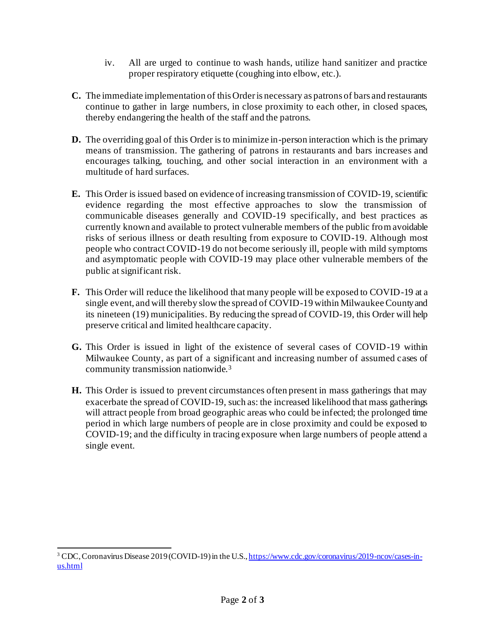- iv. All are urged to continue to wash hands, utilize hand sanitizer and practice proper respiratory etiquette (coughing into elbow, etc.).
- **C.** The immediate implementation of this Order is necessary as patrons of bars and restaurants continue to gather in large numbers, in close proximity to each other, in closed spaces, thereby endangering the health of the staff and the patrons.
- **D.** The overriding goal of this Order is to minimize in-person interaction which is the primary means of transmission. The gathering of patrons in restaurants and bars increases and encourages talking, touching, and other social interaction in an environment with a multitude of hard surfaces.
- **E.** This Order is issued based on evidence of increasing transmission of COVID-19, scientific evidence regarding the most effective approaches to slow the transmission of communicable diseases generally and COVID-19 specifically, and best practices as currently known and available to protect vulnerable members of the public from avoidable risks of serious illness or death resulting from exposure to COVID-19. Although most people who contract COVID-19 do not become seriously ill, people with mild symptoms and asymptomatic people with COVID-19 may place other vulnerable members of the public at significant risk.
- **F.** This Order will reduce the likelihood that many people will be exposed to COVID-19 at a single event, and will thereby slow the spread of COVID-19 within Milwaukee County and its nineteen (19) municipalities. By reducing the spread of COVID-19, this Order will help preserve critical and limited healthcare capacity.
- **G.** This Order is issued in light of the existence of several cases of COVID-19 within Milwaukee County, as part of a significant and increasing number of assumed cases of community transmission nationwide.<sup>3</sup>
- **H.** This Order is issued to prevent circumstances often present in mass gatherings that may exacerbate the spread of COVID-19, such as: the increased likelihood that mass gatherings will attract people from broad geographic areas who could be infected; the prolonged time period in which large numbers of people are in close proximity and could be exposed to COVID-19; and the difficulty in tracing exposure when large numbers of people attend a single event.

<sup>&</sup>lt;sup>3</sup> CDC, Coronavirus Disease 2019 (COVID-19) in the U.S.[, https://www.cdc.gov/coronavirus/2019-ncov/cases-in](https://www.cdc.gov/coronavirus/2019-ncov/cases-in-us.html)[us.html](https://www.cdc.gov/coronavirus/2019-ncov/cases-in-us.html)